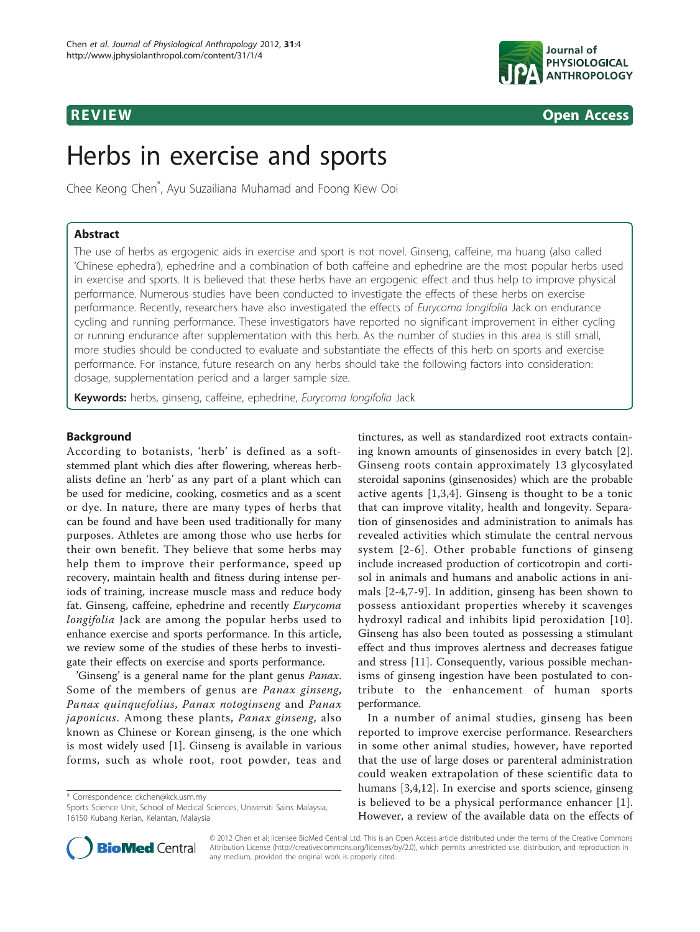

**REVIEW REVIEW CONSTRUCTER ACCESS** 

# Herbs in exercise and sports

Chee Keong Chen\* , Ayu Suzailiana Muhamad and Foong Kiew Ooi

### Abstract

The use of herbs as ergogenic aids in exercise and sport is not novel. Ginseng, caffeine, ma huang (also called 'Chinese ephedra'), ephedrine and a combination of both caffeine and ephedrine are the most popular herbs used in exercise and sports. It is believed that these herbs have an ergogenic effect and thus help to improve physical performance. Numerous studies have been conducted to investigate the effects of these herbs on exercise performance. Recently, researchers have also investigated the effects of Eurycoma longifolia Jack on endurance cycling and running performance. These investigators have reported no significant improvement in either cycling or running endurance after supplementation with this herb. As the number of studies in this area is still small, more studies should be conducted to evaluate and substantiate the effects of this herb on sports and exercise performance. For instance, future research on any herbs should take the following factors into consideration: dosage, supplementation period and a larger sample size.

Keywords: herbs, ginseng, caffeine, ephedrine, Eurycoma longifolia Jack

#### **Background**

According to botanists, 'herb' is defined as a softstemmed plant which dies after flowering, whereas herbalists define an 'herb' as any part of a plant which can be used for medicine, cooking, cosmetics and as a scent or dye. In nature, there are many types of herbs that can be found and have been used traditionally for many purposes. Athletes are among those who use herbs for their own benefit. They believe that some herbs may help them to improve their performance, speed up recovery, maintain health and fitness during intense periods of training, increase muscle mass and reduce body fat. Ginseng, caffeine, ephedrine and recently Eurycoma longifolia Jack are among the popular herbs used to enhance exercise and sports performance. In this article, we review some of the studies of these herbs to investigate their effects on exercise and sports performance.

'Ginseng' is a general name for the plant genus Panax. Some of the members of genus are Panax ginseng, Panax quinquefolius, Panax notoginseng and Panax japonicus. Among these plants, Panax ginseng, also known as Chinese or Korean ginseng, is the one which is most widely used [\[1](#page-5-0)]. Ginseng is available in various forms, such as whole root, root powder, teas and

\* Correspondence: [ckchen@kck.usm.my](mailto:ckchen@kck.usm.my)

Sports Science Unit, School of Medical Sciences, Universiti Sains Malaysia, 16150 Kubang Kerian, Kelantan, Malaysia



In a number of animal studies, ginseng has been reported to improve exercise performance. Researchers in some other animal studies, however, have reported that the use of large doses or parenteral administration could weaken extrapolation of these scientific data to humans [[3,4,12](#page-5-0)]. In exercise and sports science, ginseng is believed to be a physical performance enhancer [[1](#page-5-0)]. However, a review of the available data on the effects of



© 2012 Chen et al; licensee BioMed Central Ltd. This is an Open Access article distributed under the terms of the Creative Commons Attribution License [\(http://creativecommons.org/licenses/by/2.0](http://creativecommons.org/licenses/by/2.0)), which permits unrestricted use, distribution, and reproduction in any medium, provided the original work is properly cited.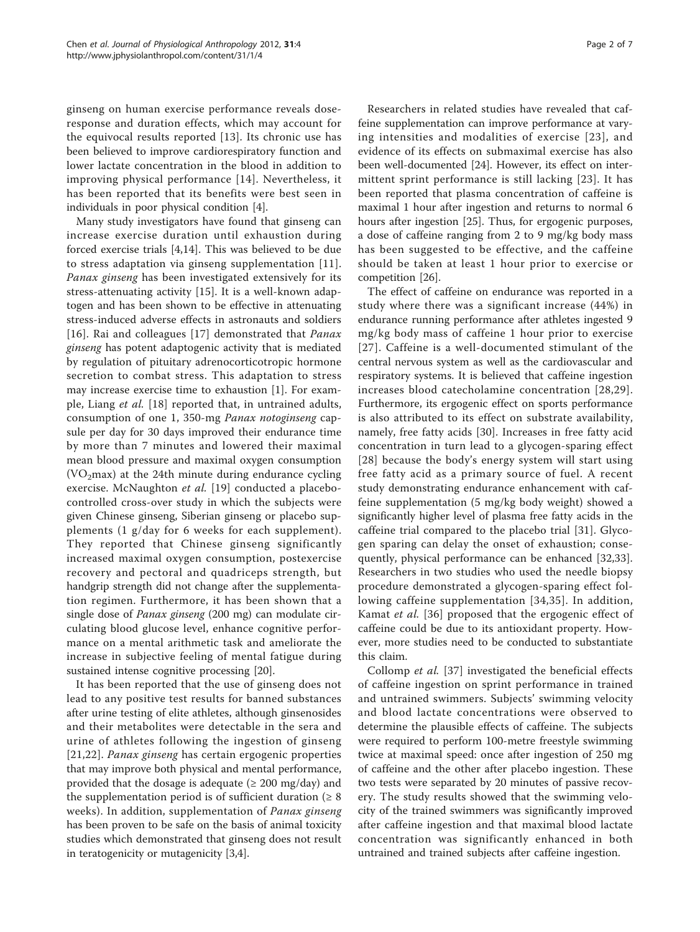ginseng on human exercise performance reveals doseresponse and duration effects, which may account for the equivocal results reported [[13\]](#page-5-0). Its chronic use has been believed to improve cardiorespiratory function and lower lactate concentration in the blood in addition to improving physical performance [[14](#page-5-0)]. Nevertheless, it has been reported that its benefits were best seen in individuals in poor physical condition [\[4\]](#page-5-0).

Many study investigators have found that ginseng can increase exercise duration until exhaustion during forced exercise trials [[4,14\]](#page-5-0). This was believed to be due to stress adaptation via ginseng supplementation [[11](#page-5-0)]. Panax ginseng has been investigated extensively for its stress-attenuating activity [[15\]](#page-5-0). It is a well-known adaptogen and has been shown to be effective in attenuating stress-induced adverse effects in astronauts and soldiers [[16](#page-5-0)]. Rai and colleagues [\[17](#page-5-0)] demonstrated that *Panax* ginseng has potent adaptogenic activity that is mediated by regulation of pituitary adrenocorticotropic hormone secretion to combat stress. This adaptation to stress may increase exercise time to exhaustion [\[1](#page-5-0)]. For example, Liang et al. [[18\]](#page-5-0) reported that, in untrained adults, consumption of one 1, 350-mg Panax notoginseng capsule per day for 30 days improved their endurance time by more than 7 minutes and lowered their maximal mean blood pressure and maximal oxygen consumption  $(VO<sub>2</sub>max)$  at the 24th minute during endurance cycling exercise. McNaughton et al. [[19](#page-5-0)] conducted a placebocontrolled cross-over study in which the subjects were given Chinese ginseng, Siberian ginseng or placebo supplements (1 g/day for 6 weeks for each supplement). They reported that Chinese ginseng significantly increased maximal oxygen consumption, postexercise recovery and pectoral and quadriceps strength, but handgrip strength did not change after the supplementation regimen. Furthermore, it has been shown that a single dose of Panax ginseng (200 mg) can modulate circulating blood glucose level, enhance cognitive performance on a mental arithmetic task and ameliorate the increase in subjective feeling of mental fatigue during sustained intense cognitive processing [\[20\]](#page-5-0).

It has been reported that the use of ginseng does not lead to any positive test results for banned substances after urine testing of elite athletes, although ginsenosides and their metabolites were detectable in the sera and urine of athletes following the ingestion of ginseng [[21](#page-5-0),[22\]](#page-5-0). Panax ginseng has certain ergogenic properties that may improve both physical and mental performance, provided that the dosage is adequate ( $\geq 200$  mg/day) and the supplementation period is of sufficient duration ( $\geq 8$ ) weeks). In addition, supplementation of Panax ginseng has been proven to be safe on the basis of animal toxicity studies which demonstrated that ginseng does not result in teratogenicity or mutagenicity [\[3,4\]](#page-5-0).

Researchers in related studies have revealed that caffeine supplementation can improve performance at varying intensities and modalities of exercise [[23](#page-5-0)], and evidence of its effects on submaximal exercise has also been well-documented [\[24\]](#page-5-0). However, its effect on intermittent sprint performance is still lacking [\[23\]](#page-5-0). It has been reported that plasma concentration of caffeine is maximal 1 hour after ingestion and returns to normal 6 hours after ingestion [[25\]](#page-5-0). Thus, for ergogenic purposes, a dose of caffeine ranging from 2 to 9 mg/kg body mass has been suggested to be effective, and the caffeine should be taken at least 1 hour prior to exercise or competition [\[26\]](#page-5-0).

The effect of caffeine on endurance was reported in a study where there was a significant increase (44%) in endurance running performance after athletes ingested 9 mg/kg body mass of caffeine 1 hour prior to exercise [[27\]](#page-5-0). Caffeine is a well-documented stimulant of the central nervous system as well as the cardiovascular and respiratory systems. It is believed that caffeine ingestion increases blood catecholamine concentration [[28](#page-5-0),[29\]](#page-5-0). Furthermore, its ergogenic effect on sports performance is also attributed to its effect on substrate availability, namely, free fatty acids [[30\]](#page-6-0). Increases in free fatty acid concentration in turn lead to a glycogen-sparing effect [[28](#page-5-0)] because the body's energy system will start using free fatty acid as a primary source of fuel. A recent study demonstrating endurance enhancement with caffeine supplementation (5 mg/kg body weight) showed a significantly higher level of plasma free fatty acids in the caffeine trial compared to the placebo trial [[31\]](#page-6-0). Glycogen sparing can delay the onset of exhaustion; consequently, physical performance can be enhanced [[32,33](#page-6-0)]. Researchers in two studies who used the needle biopsy procedure demonstrated a glycogen-sparing effect following caffeine supplementation [[34,35\]](#page-6-0). In addition, Kamat et al. [[36](#page-6-0)] proposed that the ergogenic effect of caffeine could be due to its antioxidant property. However, more studies need to be conducted to substantiate this claim.

Collomp et al. [[37](#page-6-0)] investigated the beneficial effects of caffeine ingestion on sprint performance in trained and untrained swimmers. Subjects' swimming velocity and blood lactate concentrations were observed to determine the plausible effects of caffeine. The subjects were required to perform 100-metre freestyle swimming twice at maximal speed: once after ingestion of 250 mg of caffeine and the other after placebo ingestion. These two tests were separated by 20 minutes of passive recovery. The study results showed that the swimming velocity of the trained swimmers was significantly improved after caffeine ingestion and that maximal blood lactate concentration was significantly enhanced in both untrained and trained subjects after caffeine ingestion.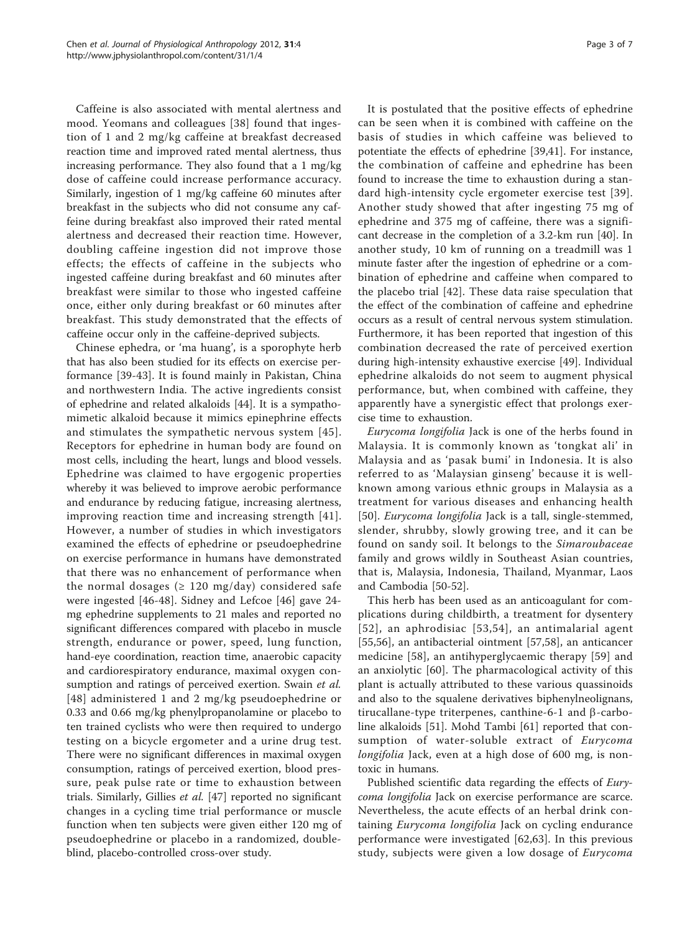Caffeine is also associated with mental alertness and mood. Yeomans and colleagues [[38](#page-6-0)] found that ingestion of 1 and 2 mg/kg caffeine at breakfast decreased reaction time and improved rated mental alertness, thus increasing performance. They also found that a 1 mg/kg dose of caffeine could increase performance accuracy. Similarly, ingestion of 1 mg/kg caffeine 60 minutes after breakfast in the subjects who did not consume any caffeine during breakfast also improved their rated mental alertness and decreased their reaction time. However, doubling caffeine ingestion did not improve those effects; the effects of caffeine in the subjects who ingested caffeine during breakfast and 60 minutes after breakfast were similar to those who ingested caffeine once, either only during breakfast or 60 minutes after breakfast. This study demonstrated that the effects of caffeine occur only in the caffeine-deprived subjects.

Chinese ephedra, or 'ma huang', is a sporophyte herb that has also been studied for its effects on exercise performance [\[39](#page-6-0)-[43](#page-6-0)]. It is found mainly in Pakistan, China and northwestern India. The active ingredients consist of ephedrine and related alkaloids [\[44](#page-6-0)]. It is a sympathomimetic alkaloid because it mimics epinephrine effects and stimulates the sympathetic nervous system [[45\]](#page-6-0). Receptors for ephedrine in human body are found on most cells, including the heart, lungs and blood vessels. Ephedrine was claimed to have ergogenic properties whereby it was believed to improve aerobic performance and endurance by reducing fatigue, increasing alertness, improving reaction time and increasing strength [[41\]](#page-6-0). However, a number of studies in which investigators examined the effects of ephedrine or pseudoephedrine on exercise performance in humans have demonstrated that there was no enhancement of performance when the normal dosages ( $\geq$  120 mg/day) considered safe were ingested [\[46](#page-6-0)-[48](#page-6-0)]. Sidney and Lefcoe [\[46](#page-6-0)] gave 24 mg ephedrine supplements to 21 males and reported no significant differences compared with placebo in muscle strength, endurance or power, speed, lung function, hand-eye coordination, reaction time, anaerobic capacity and cardiorespiratory endurance, maximal oxygen consumption and ratings of perceived exertion. Swain et al. [[48](#page-6-0)] administered 1 and 2 mg/kg pseudoephedrine or 0.33 and 0.66 mg/kg phenylpropanolamine or placebo to ten trained cyclists who were then required to undergo testing on a bicycle ergometer and a urine drug test. There were no significant differences in maximal oxygen consumption, ratings of perceived exertion, blood pressure, peak pulse rate or time to exhaustion between trials. Similarly, Gillies et al. [\[47\]](#page-6-0) reported no significant changes in a cycling time trial performance or muscle function when ten subjects were given either 120 mg of pseudoephedrine or placebo in a randomized, doubleblind, placebo-controlled cross-over study.

It is postulated that the positive effects of ephedrine can be seen when it is combined with caffeine on the basis of studies in which caffeine was believed to potentiate the effects of ephedrine [\[39,41](#page-6-0)]. For instance, the combination of caffeine and ephedrine has been found to increase the time to exhaustion during a standard high-intensity cycle ergometer exercise test [[39\]](#page-6-0). Another study showed that after ingesting 75 mg of ephedrine and 375 mg of caffeine, there was a significant decrease in the completion of a 3.2-km run [[40](#page-6-0)]. In another study, 10 km of running on a treadmill was 1 minute faster after the ingestion of ephedrine or a combination of ephedrine and caffeine when compared to the placebo trial [\[42](#page-6-0)]. These data raise speculation that the effect of the combination of caffeine and ephedrine occurs as a result of central nervous system stimulation. Furthermore, it has been reported that ingestion of this combination decreased the rate of perceived exertion during high-intensity exhaustive exercise [\[49\]](#page-6-0). Individual ephedrine alkaloids do not seem to augment physical performance, but, when combined with caffeine, they apparently have a synergistic effect that prolongs exercise time to exhaustion.

Eurycoma longifolia Jack is one of the herbs found in Malaysia. It is commonly known as 'tongkat ali' in Malaysia and as 'pasak bumi' in Indonesia. It is also referred to as 'Malaysian ginseng' because it is wellknown among various ethnic groups in Malaysia as a treatment for various diseases and enhancing health [[50](#page-6-0)]. Eurycoma longifolia Jack is a tall, single-stemmed, slender, shrubby, slowly growing tree, and it can be found on sandy soil. It belongs to the Simaroubaceae family and grows wildly in Southeast Asian countries, that is, Malaysia, Indonesia, Thailand, Myanmar, Laos and Cambodia [[50-52\]](#page-6-0).

This herb has been used as an anticoagulant for complications during childbirth, a treatment for dysentery [[52](#page-6-0)], an aphrodisiac [[53](#page-6-0),[54\]](#page-6-0), an antimalarial agent [[55,56](#page-6-0)], an antibacterial ointment [\[57](#page-6-0),[58\]](#page-6-0), an anticancer medicine [[58](#page-6-0)], an antihyperglycaemic therapy [\[59](#page-6-0)] and an anxiolytic [[60\]](#page-6-0). The pharmacological activity of this plant is actually attributed to these various quassinoids and also to the squalene derivatives biphenylneolignans, tirucallane-type triterpenes, canthine-6-1 and  $\beta$ -carboline alkaloids [\[51](#page-6-0)]. Mohd Tambi [[61\]](#page-6-0) reported that consumption of water-soluble extract of Eurycoma longifolia Jack, even at a high dose of 600 mg, is nontoxic in humans.

Published scientific data regarding the effects of *Eury*coma longifolia Jack on exercise performance are scarce. Nevertheless, the acute effects of an herbal drink containing Eurycoma longifolia Jack on cycling endurance performance were investigated [[62,63](#page-6-0)]. In this previous study, subjects were given a low dosage of *Eurycoma*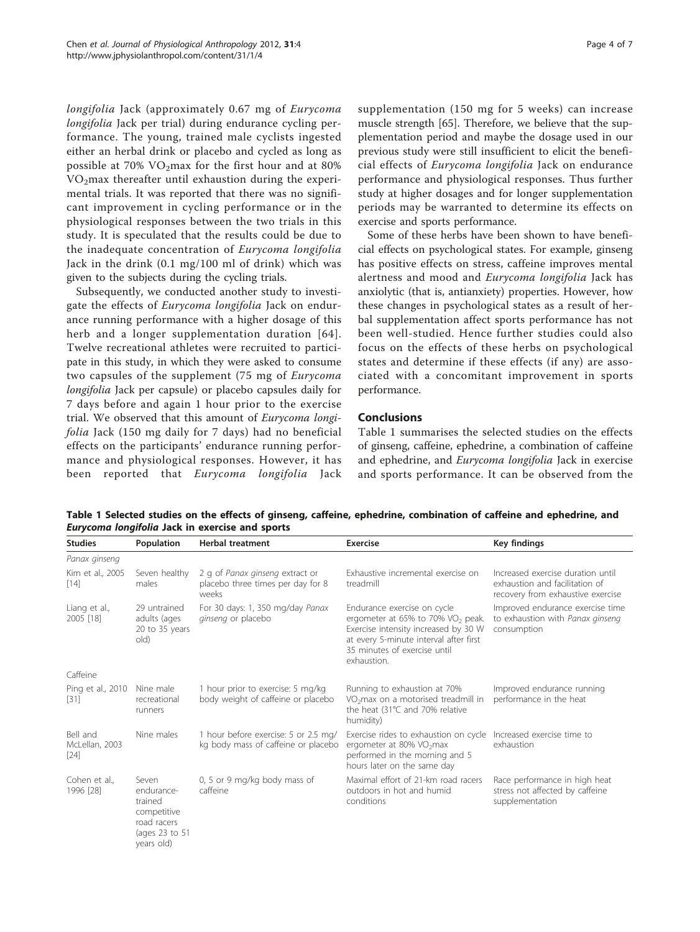longifolia Jack (approximately 0.67 mg of Eurycoma longifolia Jack per trial) during endurance cycling performance. The young, trained male cyclists ingested either an herbal drink or placebo and cycled as long as possible at 70% VO2max for the first hour and at 80%  $VO<sub>2</sub>max$  thereafter until exhaustion during the experimental trials. It was reported that there was no significant improvement in cycling performance or in the physiological responses between the two trials in this study. It is speculated that the results could be due to the inadequate concentration of Eurycoma longifolia Jack in the drink (0.1 mg/100 ml of drink) which was given to the subjects during the cycling trials.

Subsequently, we conducted another study to investigate the effects of Eurycoma longifolia Jack on endurance running performance with a higher dosage of this herb and a longer supplementation duration [[64\]](#page-6-0). Twelve recreational athletes were recruited to participate in this study, in which they were asked to consume two capsules of the supplement (75 mg of Eurycoma longifolia Jack per capsule) or placebo capsules daily for 7 days before and again 1 hour prior to the exercise trial. We observed that this amount of Eurycoma longifolia Jack (150 mg daily for 7 days) had no beneficial effects on the participants' endurance running performance and physiological responses. However, it has been reported that *Eurycoma longifolia* Jack supplementation (150 mg for 5 weeks) can increase muscle strength [\[65](#page-6-0)]. Therefore, we believe that the supplementation period and maybe the dosage used in our previous study were still insufficient to elicit the beneficial effects of Eurycoma longifolia Jack on endurance performance and physiological responses. Thus further study at higher dosages and for longer supplementation periods may be warranted to determine its effects on exercise and sports performance.

Some of these herbs have been shown to have beneficial effects on psychological states. For example, ginseng has positive effects on stress, caffeine improves mental alertness and mood and Eurycoma longifolia Jack has anxiolytic (that is, antianxiety) properties. However, how these changes in psychological states as a result of herbal supplementation affect sports performance has not been well-studied. Hence further studies could also focus on the effects of these herbs on psychological states and determine if these effects (if any) are associated with a concomitant improvement in sports performance.

#### Conclusions

Table 1 summarises the selected studies on the effects of ginseng, caffeine, ephedrine, a combination of caffeine and ephedrine, and *Eurycoma longifolia* Jack in exercise and sports performance. It can be observed from the

| <b>Studies</b>                       | Population                                                                                       | <b>Herbal treatment</b>                                                       | <b>Exercise</b>                                                                                                                                                                                               | Key findings                                                                                             |
|--------------------------------------|--------------------------------------------------------------------------------------------------|-------------------------------------------------------------------------------|---------------------------------------------------------------------------------------------------------------------------------------------------------------------------------------------------------------|----------------------------------------------------------------------------------------------------------|
| Panax ginseng                        |                                                                                                  |                                                                               |                                                                                                                                                                                                               |                                                                                                          |
| Kim et al., 2005<br>$[14]$           | Seven healthy<br>males                                                                           | 2 g of Panax ginseng extract or<br>placebo three times per day for 8<br>weeks | Exhaustive incremental exercise on<br>treadmill                                                                                                                                                               | Increased exercise duration until<br>exhaustion and facilitation of<br>recovery from exhaustive exercise |
| Liang et al.,<br>2005 [18]           | 29 untrained<br>adults (ages<br>20 to 35 years<br>old)                                           | For 30 days: 1, 350 mg/day Panax<br>ginseng or placebo                        | Endurance exercise on cycle<br>ergometer at 65% to 70% VO <sub>2</sub> peak.<br>Exercise intensity increased by 30 W<br>at every 5-minute interval after first<br>35 minutes of exercise until<br>exhaustion. | Improved endurance exercise time<br>to exhaustion with Panax ginseng<br>consumption                      |
| Caffeine                             |                                                                                                  |                                                                               |                                                                                                                                                                                                               |                                                                                                          |
| Ping et al., 2010<br>$[31]$          | Nine male<br>recreational<br>runners                                                             | 1 hour prior to exercise: 5 mg/kg<br>body weight of caffeine or placebo       | Running to exhaustion at 70%<br>VO <sub>2</sub> max on a motorised treadmill in<br>the heat (31°C and 70% relative<br>humidity)                                                                               | Improved endurance running<br>performance in the heat                                                    |
| Bell and<br>McLellan, 2003<br>$[24]$ | Nine males                                                                                       | 1 hour before exercise: 5 or 2.5 mg/<br>kg body mass of caffeine or placebo   | Exercise rides to exhaustion on cycle<br>ergometer at 80% VO <sub>2</sub> max<br>performed in the morning and 5<br>hours later on the same day                                                                | Increased exercise time to<br>exhaustion                                                                 |
| Cohen et al.,<br>1996 [28]           | Seven<br>endurance-<br>trained<br>competitive<br>road racers<br>(ages $23$ to $51$<br>years old) | 0, 5 or 9 mg/kg body mass of<br>caffeine                                      | Maximal effort of 21-km road racers<br>outdoors in hot and humid<br>conditions                                                                                                                                | Race performance in high heat<br>stress not affected by caffeine<br>supplementation                      |

Table 1 Selected studies on the effects of ginseng, caffeine, ephedrine, combination of caffeine and ephedrine, and Eurycoma longifolia Jack in exercise and sports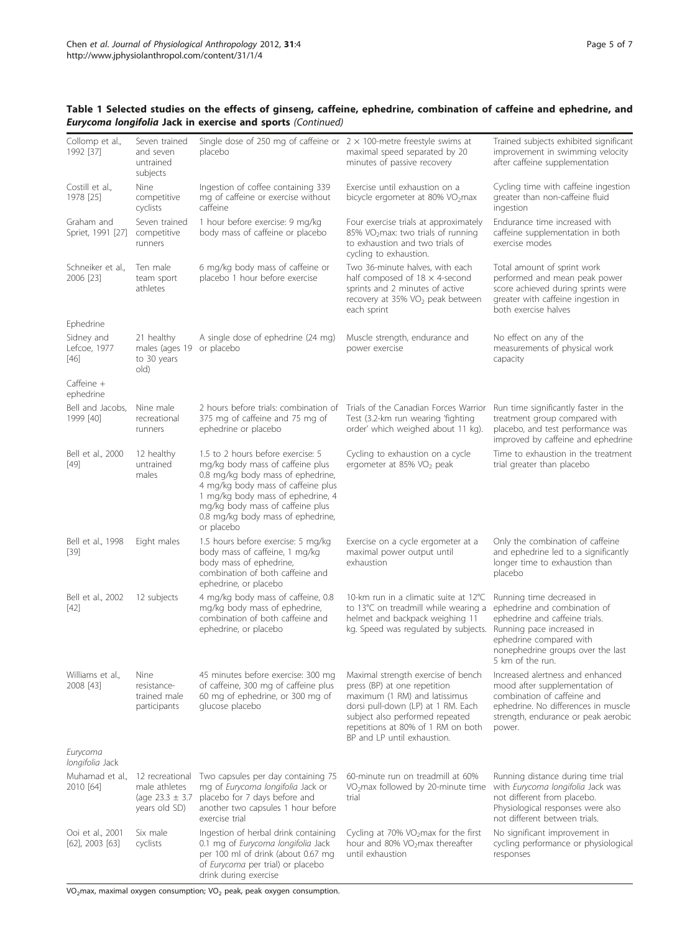| Collomp et al.,<br>1992 [37]                 | Seven trained<br>and seven<br>untrained<br>subjects   | Single dose of 250 mg of caffeine or $2 \times 100$ -metre freestyle swims at<br>placebo                                                                                                                                                                                     | maximal speed separated by 20<br>minutes of passive recovery                                                                                                                                                                                      | Trained subjects exhibited significant<br>improvement in swimming velocity<br>after caffeine supplementation                                                                                                 |
|----------------------------------------------|-------------------------------------------------------|------------------------------------------------------------------------------------------------------------------------------------------------------------------------------------------------------------------------------------------------------------------------------|---------------------------------------------------------------------------------------------------------------------------------------------------------------------------------------------------------------------------------------------------|--------------------------------------------------------------------------------------------------------------------------------------------------------------------------------------------------------------|
| Costill et al.,<br>1978 [25]                 | Nine<br>competitive<br>cyclists                       | Ingestion of coffee containing 339<br>mg of caffeine or exercise without<br>caffeine                                                                                                                                                                                         | Exercise until exhaustion on a<br>bicycle ergometer at 80% VO <sub>2</sub> max                                                                                                                                                                    | Cycling time with caffeine ingestion<br>greater than non-caffeine fluid<br>ingestion                                                                                                                         |
| Graham and<br>Spriet, 1991 [27]              | Seven trained<br>competitive<br>runners               | 1 hour before exercise: 9 mg/kg<br>body mass of caffeine or placebo                                                                                                                                                                                                          | Four exercise trials at approximately<br>85% VO <sub>2</sub> max: two trials of running<br>to exhaustion and two trials of<br>cycling to exhaustion.                                                                                              | Endurance time increased with<br>caffeine supplementation in both<br>exercise modes                                                                                                                          |
| Schneiker et al.,<br>2006 [23]               | Ten male<br>team sport<br>athletes                    | 6 mg/kg body mass of caffeine or<br>placebo 1 hour before exercise                                                                                                                                                                                                           | Two 36-minute halves, with each<br>half composed of $18 \times 4$ -second<br>sprints and 2 minutes of active<br>recovery at 35% VO <sub>2</sub> peak between<br>each sprint                                                                       | Total amount of sprint work<br>performed and mean peak power<br>score achieved during sprints were<br>greater with caffeine ingestion in<br>both exercise halves                                             |
| Ephedrine                                    |                                                       |                                                                                                                                                                                                                                                                              |                                                                                                                                                                                                                                                   |                                                                                                                                                                                                              |
| Sidney and<br>Lefcoe, 1977<br>$[46]$         | 21 healthy<br>males (ages 19<br>to 30 years<br>old)   | A single dose of ephedrine (24 mg)<br>or placebo                                                                                                                                                                                                                             | Muscle strength, endurance and<br>power exercise                                                                                                                                                                                                  | No effect on any of the<br>measurements of physical work<br>capacity                                                                                                                                         |
| $Caffeine +$<br>ephedrine                    |                                                       |                                                                                                                                                                                                                                                                              |                                                                                                                                                                                                                                                   |                                                                                                                                                                                                              |
| Bell and Jacobs,<br>1999 [40]                | Nine male<br>recreational<br>runners                  | 2 hours before trials: combination of<br>375 mg of caffeine and 75 mg of<br>ephedrine or placebo                                                                                                                                                                             | Trials of the Canadian Forces Warrior<br>Test (3.2-km run wearing 'fighting<br>order' which weighed about 11 kg).                                                                                                                                 | Run time significantly faster in the<br>treatment group compared with<br>placebo, and test performance was<br>improved by caffeine and ephedrine                                                             |
| Bell et al., 2000<br>$[49]$                  | 12 healthy<br>untrained<br>males                      | 1.5 to 2 hours before exercise: 5<br>mg/kg body mass of caffeine plus<br>0.8 mg/kg body mass of ephedrine,<br>4 mg/kg body mass of caffeine plus<br>1 mg/kg body mass of ephedrine, 4<br>mg/kg body mass of caffeine plus<br>0.8 mg/kg body mass of ephedrine,<br>or placebo | Cycling to exhaustion on a cycle<br>ergometer at 85% VO <sub>2</sub> peak                                                                                                                                                                         | Time to exhaustion in the treatment<br>trial greater than placebo                                                                                                                                            |
| Bell et al., 1998<br>$[39]$                  | Eight males                                           | 1.5 hours before exercise: 5 mg/kg<br>body mass of caffeine, 1 mg/kg<br>body mass of ephedrine,<br>combination of both caffeine and<br>ephedrine, or placebo                                                                                                                 | Exercise on a cycle ergometer at a<br>maximal power output until<br>exhaustion                                                                                                                                                                    | Only the combination of caffeine<br>and ephedrine led to a significantly<br>longer time to exhaustion than<br>placebo                                                                                        |
| Bell et al., 2002<br>$[42]$                  | 12 subjects                                           | 4 mg/kg body mass of caffeine, 0.8<br>mg/kg body mass of ephedrine,<br>combination of both caffeine and<br>ephedrine, or placebo                                                                                                                                             | 10-km run in a climatic suite at 12°C<br>to 13°C on treadmill while wearing a<br>helmet and backpack weighing 11<br>kg. Speed was regulated by subjects.                                                                                          | Running time decreased in<br>ephedrine and combination of<br>ephedrine and caffeine trials.<br>Running pace increased in<br>ephedrine compared with<br>nonephedrine groups over the last<br>5 km of the run. |
| Williams et al.,<br>2008 [43]                | Nine<br>resistance-<br>trained male<br>participants   | 45 minutes before exercise: 300 mg<br>of caffeine, 300 mg of caffeine plus<br>60 mg of ephedrine, or 300 mg of<br>glucose placebo                                                                                                                                            | Maximal strength exercise of bench<br>press (BP) at one repetition<br>maximum (1 RM) and latissimus<br>dorsi pull-down (LP) at 1 RM. Each<br>subject also performed repeated<br>repetitions at 80% of 1 RM on both<br>BP and LP until exhaustion. | Increased alertness and enhanced<br>mood after supplementation of<br>combination of caffeine and<br>ephedrine. No differences in muscle<br>strength, endurance or peak aerobic<br>power.                     |
| Eurycoma<br>longifolia Jack                  |                                                       |                                                                                                                                                                                                                                                                              |                                                                                                                                                                                                                                                   |                                                                                                                                                                                                              |
| Muhamad et al., 12 recreational<br>2010 [64] | male athletes<br>(age $23.3 \pm 3.7$<br>years old SD) | Two capsules per day containing 75<br>mg of Eurycoma longifolia Jack or<br>placebo for 7 days before and<br>another two capsules 1 hour before<br>exercise trial                                                                                                             | 60-minute run on treadmill at 60%<br>VO <sub>2</sub> max followed by 20-minute time<br>trial                                                                                                                                                      | Running distance during time trial<br>with Eurycoma longifolia Jack was<br>not different from placebo.<br>Physiological responses were also<br>not different between trials.                                 |
| Ooi et al., 2001<br>$[62]$ , 2003 $[63]$     | Six male<br>cyclists                                  | Ingestion of herbal drink containing<br>0.1 mg of Eurycoma longifolia Jack<br>per 100 ml of drink (about 0.67 mg                                                                                                                                                             | Cycling at 70% $VO2$ max for the first<br>hour and 80% VO <sub>2</sub> max thereafter<br>until exhaustion                                                                                                                                         | No significant improvement in<br>cycling performance or physiological<br>responses                                                                                                                           |

## Table 1 Selected studies on the effects of ginseng, caffeine, ephedrine, combination of caffeine and ephedrine, and **Eurycoma longifolia Jack in exercise and sports (Continued)**<br>Collomn et al. Seven trained Single dose of 250 mg of caffeine or

 $VO<sub>2</sub>$ max, maximal oxygen consumption;  $VO<sub>2</sub>$  peak, peak oxygen consumption.

of Eurycoma per trial) or placebo

drink during exercise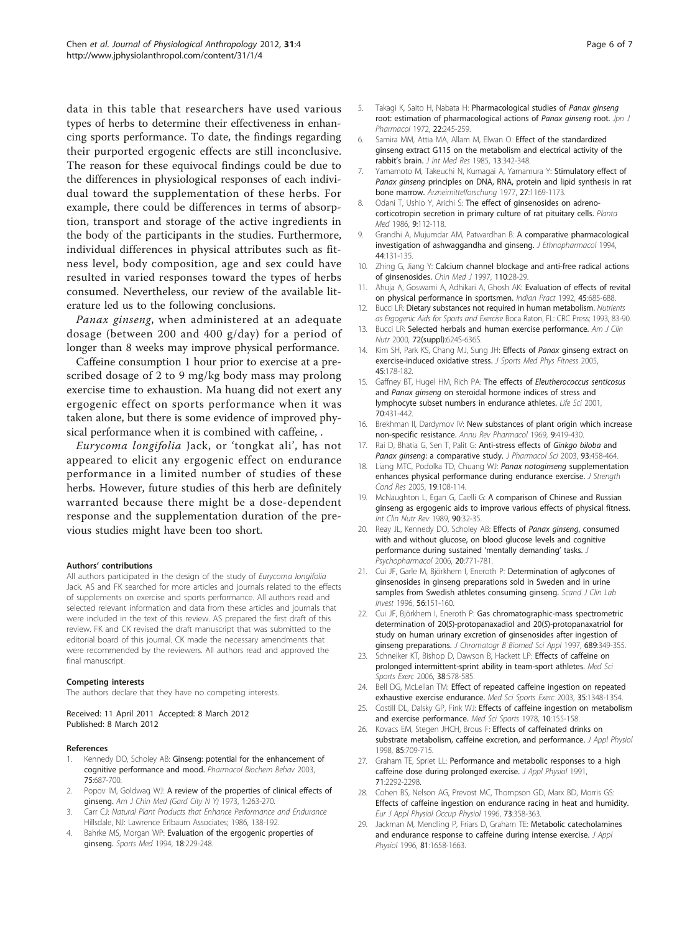<span id="page-5-0"></span>data in this table that researchers have used various types of herbs to determine their effectiveness in enhancing sports performance. To date, the findings regarding their purported ergogenic effects are still inconclusive. The reason for these equivocal findings could be due to the differences in physiological responses of each individual toward the supplementation of these herbs. For example, there could be differences in terms of absorption, transport and storage of the active ingredients in the body of the participants in the studies. Furthermore, individual differences in physical attributes such as fitness level, body composition, age and sex could have resulted in varied responses toward the types of herbs consumed. Nevertheless, our review of the available literature led us to the following conclusions.

Panax ginseng, when administered at an adequate dosage (between 200 and 400 g/day) for a period of longer than 8 weeks may improve physical performance.

Caffeine consumption 1 hour prior to exercise at a prescribed dosage of 2 to 9 mg/kg body mass may prolong exercise time to exhaustion. Ma huang did not exert any ergogenic effect on sports performance when it was taken alone, but there is some evidence of improved physical performance when it is combined with caffeine, .

Eurycoma longifolia Jack, or 'tongkat ali', has not appeared to elicit any ergogenic effect on endurance performance in a limited number of studies of these herbs. However, future studies of this herb are definitely warranted because there might be a dose-dependent response and the supplementation duration of the previous studies might have been too short.

#### Authors' contributions

All authors participated in the design of the study of Eurycoma longifolia Jack. AS and FK searched for more articles and journals related to the effects of supplements on exercise and sports performance. All authors read and selected relevant information and data from these articles and journals that were included in the text of this review. AS prepared the first draft of this review. FK and CK revised the draft manuscript that was submitted to the editorial board of this journal. CK made the necessary amendments that were recommended by the reviewers. All authors read and approved the final manuscript.

#### Competing interests

The authors declare that they have no competing interests.

#### Received: 11 April 2011 Accepted: 8 March 2012 Published: 8 March 2012

#### References

- 1. Kennedy DO, Scholey AB: [Ginseng: potential for the enhancement of](http://www.ncbi.nlm.nih.gov/pubmed/12895687?dopt=Abstract) [cognitive performance and mood.](http://www.ncbi.nlm.nih.gov/pubmed/12895687?dopt=Abstract) Pharmacol Biochem Behav 2003, 75:687-700.
- 2. Popov IM, Goldwag WJ: A review of the properties of clinical effects of ginseng. Am J Chin Med (Gard City N Y) 1973, 1:263-270.
- 3. Carr CJ: Natural Plant Products that Enhance Performance and Endurance Hillsdale, NJ: Lawrence Erlbaum Associates; 1986, 138-192.
- 4. Bahrke MS, Morgan WP: [Evaluation of the ergogenic properties of](http://www.ncbi.nlm.nih.gov/pubmed/7817063?dopt=Abstract) [ginseng.](http://www.ncbi.nlm.nih.gov/pubmed/7817063?dopt=Abstract) Sports Med 1994, 18:229-248.
- 5. Takagi K, Saito H, Nabata H: [Pharmacological studies of](http://www.ncbi.nlm.nih.gov/pubmed/4538416?dopt=Abstract) Panax ginseng [root: estimation of pharmacological actions of](http://www.ncbi.nlm.nih.gov/pubmed/4538416?dopt=Abstract) Panax ginseng root. Jpn J Pharmacol 1972, 22:245-259.
- 6. Samira MM, Attia MA, Allam M, Elwan O: [Effect of the standardized](http://www.ncbi.nlm.nih.gov/pubmed/4076533?dopt=Abstract) [ginseng extract G115 on the metabolism and electrical activity of the](http://www.ncbi.nlm.nih.gov/pubmed/4076533?dopt=Abstract) rabbit'[s brain.](http://www.ncbi.nlm.nih.gov/pubmed/4076533?dopt=Abstract) J Int Med Res 1985, 13:342-348.
- 7. Yamamoto M, Takeuchi N, Kumagai A, Yamamura Y: [Stimulatory effect of](http://www.ncbi.nlm.nih.gov/pubmed/578435?dopt=Abstract) Panax ginseng [principles on DNA, RNA, protein and lipid synthesis in rat](http://www.ncbi.nlm.nih.gov/pubmed/578435?dopt=Abstract) [bone marrow.](http://www.ncbi.nlm.nih.gov/pubmed/578435?dopt=Abstract) Arzneimittelforschung 1977, 27:1169-1173.
- 8. Odani T, Ushio Y, Arichi S: The effect of ginsenosides on adrenocorticotropin secretion in primary culture of rat pituitary cells. Planta Med 1986, 9:112-118.
- 9. Grandhi A, Mujumdar AM, Patwardhan B: [A comparative pharmacological](http://www.ncbi.nlm.nih.gov/pubmed/7898119?dopt=Abstract) [investigation of ashwaggandha and ginseng.](http://www.ncbi.nlm.nih.gov/pubmed/7898119?dopt=Abstract) J Ethnopharmacol 1994, 44:131-135.
- 10. Zhing G, Jiang Y: [Calcium channel blockage and anti-free radical actions](http://www.ncbi.nlm.nih.gov/pubmed/9594317?dopt=Abstract) [of ginsenosides.](http://www.ncbi.nlm.nih.gov/pubmed/9594317?dopt=Abstract) Chin Med J 1997, 110:28-29.
- 11. Ahuja A, Goswami A, Adhikari A, Ghosh AK: Evaluation of effects of revital on physical performance in sportsmen. Indian Pract 1992, 45:685-688.
- 12. Bucci LR: Dietary substances not required in human metabolism. Nutrients as Ergogenic Aids for Sports and Exercise Boca Raton, FL: CRC Press; 1993, 83-90.
- 13. Bucci LR: [Selected herbals and human exercise performance.](http://www.ncbi.nlm.nih.gov/pubmed/10919969?dopt=Abstract) Am J Clin Nutr 2000, 72(suppl):624S-636S.
- 14. Kim SH, Park KS, Chang MJ, Sung JH: Effects of Panax [ginseng extract on](http://www.ncbi.nlm.nih.gov/pubmed/16355078?dopt=Abstract) [exercise-induced oxidative stress.](http://www.ncbi.nlm.nih.gov/pubmed/16355078?dopt=Abstract) J Sports Med Phys Fitness 2005, 45:178-182.
- 15. Gaffney BT, Hugel HM, Rich PA: The effects of [Eleutherococcus senticosus](http://www.ncbi.nlm.nih.gov/pubmed/11798012?dopt=Abstract) and Panax ginseng [on steroidal hormone indices of stress and](http://www.ncbi.nlm.nih.gov/pubmed/11798012?dopt=Abstract) [lymphocyte subset numbers in endurance athletes.](http://www.ncbi.nlm.nih.gov/pubmed/11798012?dopt=Abstract) Life Sci 2001, 70:431-442.
- 16. Brekhman II, Dardymov IV: [New substances of plant origin which increase](http://www.ncbi.nlm.nih.gov/pubmed/4892434?dopt=Abstract) [non-specific resistance.](http://www.ncbi.nlm.nih.gov/pubmed/4892434?dopt=Abstract) Annu Rev Pharmacol 1969, 9:419-430.
- 17. Rai D, Bhatia G, Sen T, Palit G; [Anti-stress effects of](http://www.ncbi.nlm.nih.gov/pubmed/14737017?dopt=Abstract) Ginkgo biloba and Panax ginseng[: a comparative study.](http://www.ncbi.nlm.nih.gov/pubmed/14737017?dopt=Abstract) J Pharmacol Sci 2003, 93:458-464
- 18. Liang MTC, Podolka TD, Chuang WJ: [Panax notoginseng](http://www.ncbi.nlm.nih.gov/pubmed/15744902?dopt=Abstract) supplementation [enhances physical performance during endurance exercise.](http://www.ncbi.nlm.nih.gov/pubmed/15744902?dopt=Abstract) *J Strength* Cond Res 2005, 19:108-114.
- 19. McNaughton L, Egan G, Caelli G: A comparison of Chinese and Russian ginseng as ergogenic aids to improve various effects of physical fitness. Int Clin Nutr Rev 1989, 90:32-35.
- 20. Reay JL, Kennedy DO, Scholey AB: Effects of [Panax ginseng](http://www.ncbi.nlm.nih.gov/pubmed/16401645?dopt=Abstract), consumed [with and without glucose, on blood glucose levels and cognitive](http://www.ncbi.nlm.nih.gov/pubmed/16401645?dopt=Abstract) [performance during sustained](http://www.ncbi.nlm.nih.gov/pubmed/16401645?dopt=Abstract) 'mentally demanding' tasks. J Psychopharmacol 2006, 20:771-781.
- 21. Cui JF, Garle M, Björkhem I, Eneroth P: [Determination of aglycones of](http://www.ncbi.nlm.nih.gov/pubmed/8743108?dopt=Abstract) [ginsenosides in ginseng preparations sold in Sweden and in urine](http://www.ncbi.nlm.nih.gov/pubmed/8743108?dopt=Abstract) [samples from Swedish athletes consuming ginseng.](http://www.ncbi.nlm.nih.gov/pubmed/8743108?dopt=Abstract) Scand J Clin Lab Invest 1996, 56:151-160.
- 22. Cui JF, Björkhem I, Eneroth P: [Gas chromatographic-mass spectrometric](http://www.ncbi.nlm.nih.gov/pubmed/9080321?dopt=Abstract) determination of 20(S[\)-protopanaxadiol and 20\(](http://www.ncbi.nlm.nih.gov/pubmed/9080321?dopt=Abstract)S)-protopanaxatriol for [study on human urinary excretion of ginsenosides after ingestion of](http://www.ncbi.nlm.nih.gov/pubmed/9080321?dopt=Abstract) [ginseng preparations.](http://www.ncbi.nlm.nih.gov/pubmed/9080321?dopt=Abstract) J Chromatogr B Biomed Sci Appl 1997, 689:349-355.
- Schneiker KT, Bishop D, Dawson B, Hackett LP: [Effects of caffeine on](http://www.ncbi.nlm.nih.gov/pubmed/16540848?dopt=Abstract) [prolonged intermittent-sprint ability in team-sport athletes.](http://www.ncbi.nlm.nih.gov/pubmed/16540848?dopt=Abstract) Med Sci Sports Exerc 2006, 38:578-585.
- 24. Bell DG, McLellan TM: [Effect of repeated caffeine ingestion on repeated](http://www.ncbi.nlm.nih.gov/pubmed/12900689?dopt=Abstract) [exhaustive exercise endurance.](http://www.ncbi.nlm.nih.gov/pubmed/12900689?dopt=Abstract) Med Sci Sports Exerc 2003, 35:1348-1354.
- 25. Costill DL, Dalsky GP, Fink WJ: [Effects of caffeine ingestion on metabolism](http://www.ncbi.nlm.nih.gov/pubmed/723503?dopt=Abstract) [and exercise performance.](http://www.ncbi.nlm.nih.gov/pubmed/723503?dopt=Abstract) Med Sci Sports 1978, 10:155-158.
- 26. Kovacs EM, Stegen JHCH, Brous F: [Effects of caffeinated drinks on](http://www.ncbi.nlm.nih.gov/pubmed/9688750?dopt=Abstract) [substrate metabolism, caffeine excretion, and performance.](http://www.ncbi.nlm.nih.gov/pubmed/9688750?dopt=Abstract) J Appl Physiol 1998, 85:709-715.
- 27. Graham TE, Spriet LL: [Performance and metabolic responses to a high](http://www.ncbi.nlm.nih.gov/pubmed/1778925?dopt=Abstract) [caffeine dose during prolonged exercise.](http://www.ncbi.nlm.nih.gov/pubmed/1778925?dopt=Abstract) J Appl Physiol 1991, 71:2292-2298.
- 28. Cohen BS, Nelson AG, Prevost MC, Thompson GD, Marx BD, Morris GS: [Effects of caffeine ingestion on endurance racing in heat and humidity.](http://www.ncbi.nlm.nih.gov/pubmed/8781869?dopt=Abstract) Eur J Appl Physiol Occup Physiol 1996, 73:358-363.
- 29. Jackman M, Mendling P, Friars D, Graham TE: [Metabolic catecholamines](http://www.ncbi.nlm.nih.gov/pubmed/8904583?dopt=Abstract) [and endurance response to caffeine during intense exercise.](http://www.ncbi.nlm.nih.gov/pubmed/8904583?dopt=Abstract) J Appl Physiol 1996, 81:1658-1663.